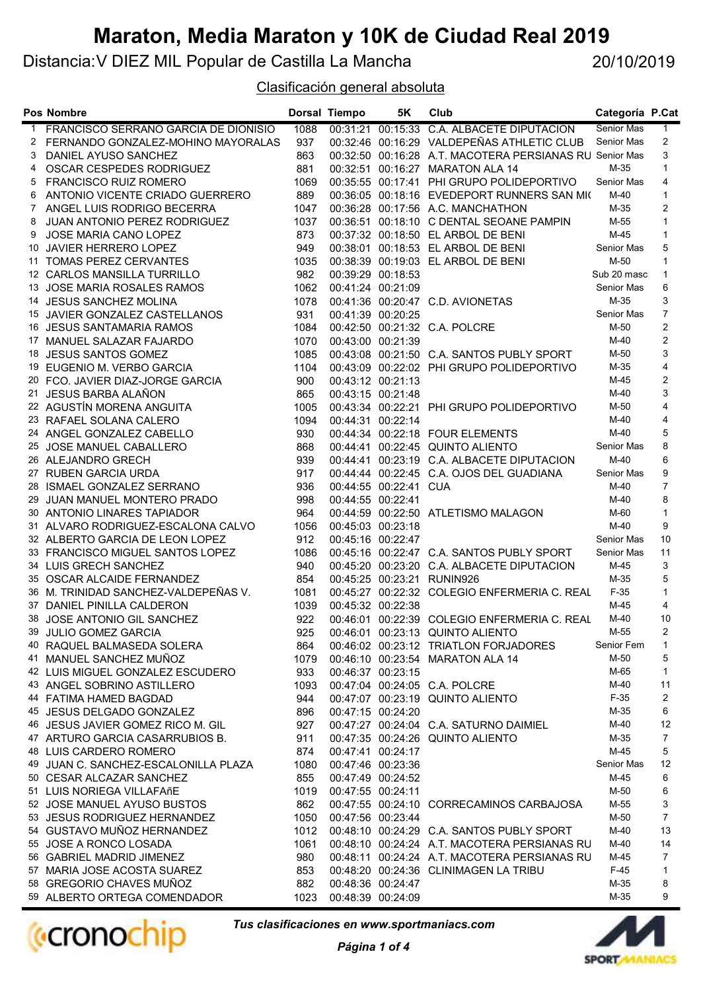Distancia:V DIEZ MIL Popular de Castilla La Mancha

20/10/2019

Clasificación general absoluta

|              | Pos Nombre                                                |             | Dorsal Tiempo     | 5K                    | Club                                                    | Categoría P.Cat      |                |
|--------------|-----------------------------------------------------------|-------------|-------------------|-----------------------|---------------------------------------------------------|----------------------|----------------|
| $\mathbf{1}$ | FRANCISCO SERRANO GARCIA DE DIONISIO                      | 1088        |                   |                       | 00:31:21 00:15:33 C.A. ALBACETE DIPUTACION              | Senior Mas           | 1.             |
|              | 2 FERNANDO GONZALEZ-MOHINO MAYORALAS                      | 937         |                   |                       | 00:32:46 00:16:29 VALDEPEÑAS ATHLETIC CLUB              | Senior Mas           | 2              |
| 3            | DANIEL AYUSO SANCHEZ                                      | 863         |                   |                       | 00:32:50 00:16:28 A.T. MACOTERA PERSIANAS RU Senior Mas |                      | 3              |
| 4            | OSCAR CESPEDES RODRIGUEZ                                  | 881         |                   |                       | 00:32:51 00:16:27 MARATON ALA 14                        | M-35                 | $\mathbf{1}$   |
| 5            | <b>FRANCISCO RUIZ ROMERO</b>                              | 1069        |                   |                       | 00:35:55 00:17:41 PHI GRUPO POLIDEPORTIVO               | Senior Mas           | 4              |
| 6            | ANTONIO VICENTE CRIADO GUERRERO                           | 889         |                   |                       | 00:36:05 00:18:16 EVEDEPORT RUNNERS SAN MIC             | M-40                 | $\mathbf{1}$   |
| 7            | ANGEL LUIS RODRIGO BECERRA                                | 1047        |                   |                       | 00:36:28 00:17:56 A.C. MANCHATHON                       | M-35                 | $\overline{2}$ |
| 8            | JUAN ANTONIO PEREZ RODRIGUEZ                              | 1037        |                   |                       | 00:36:51 00:18:10 C DENTAL SEOANE PAMPIN                | M-55                 | $\mathbf{1}$   |
| 9            | JOSE MARIA CANO LOPEZ                                     | 873         |                   |                       | 00:37:32 00:18:50 EL ARBOL DE BENI                      | $M-45$               | $\mathbf{1}$   |
|              | 10 JAVIER HERRERO LOPEZ                                   | 949         |                   |                       | 00:38:01 00:18:53 EL ARBOL DE BENI                      | Senior Mas           | 5              |
|              | 11 TOMAS PEREZ CERVANTES                                  | 1035        |                   |                       | 00:38:39 00:19:03 EL ARBOL DE BENI                      | M-50                 | $\mathbf{1}$   |
|              | 12 CARLOS MANSILLA TURRILLO                               | 982         |                   | 00:39:29 00:18:53     |                                                         | Sub 20 masc          | $\mathbf{1}$   |
|              | 13 JOSE MARIA ROSALES RAMOS                               | 1062        |                   | 00:41:24 00:21:09     |                                                         | Senior Mas           | 6              |
|              | 14 JESUS SANCHEZ MOLINA                                   | 1078        |                   |                       | 00:41:36 00:20:47 C.D. AVIONETAS                        | $M-35$               | 3              |
|              | 15 JAVIER GONZALEZ CASTELLANOS                            | 931         |                   | 00:41:39 00:20:25     |                                                         | Senior Mas           | $\overline{7}$ |
|              | 16 JESUS SANTAMARIA RAMOS                                 | 1084        |                   |                       | 00:42:50 00:21:32 C.A. POLCRE                           | M-50                 | $\overline{2}$ |
|              | 17 MANUEL SALAZAR FAJARDO                                 | 1070        |                   | 00:43:00 00:21:39     |                                                         | $M-40$               | 2              |
|              | 18 JESUS SANTOS GOMEZ                                     | 1085        |                   |                       | 00:43:08  00:21:50  C.A. SANTOS PUBLY SPORT             | M-50                 | 3              |
|              | 19 EUGENIO M. VERBO GARCIA                                | 1104        |                   |                       | 00:43:09 00:22:02 PHI GRUPO POLIDEPORTIVO               | M-35                 | 4              |
|              | 20 FCO. JAVIER DIAZ-JORGE GARCIA                          | 900         |                   | 00:43:12 00:21:13     |                                                         | M-45                 | $\overline{2}$ |
|              | 21 JESUS BARBA ALAÑON                                     | 865         |                   | 00:43:15 00:21:48     |                                                         | $M-40$               | 3              |
|              | 22 AGUSTÍN MORENA ANGUITA                                 | 1005        |                   |                       | 00:43:34 00:22:21 PHI GRUPO POLIDEPORTIVO               | M-50                 | $\overline{4}$ |
|              | 23 RAFAEL SOLANA CALERO                                   | 1094        | 00:44:31 00:22:14 |                       |                                                         | $M-40$               | 4              |
|              | 24 ANGEL GONZALEZ CABELLO                                 | 930         |                   |                       | 00:44:34 00:22:18 FOUR ELEMENTS                         | $M-40$               | 5              |
|              | 25 JOSE MANUEL CABALLERO                                  | 868         |                   |                       | 00:44:41 00:22:45 QUINTO ALIENTO                        | Senior Mas           | 8              |
|              | 26 ALEJANDRO GRECH                                        | 939         |                   |                       | 00:44:41 00:23:19 C.A. ALBACETE DIPUTACION              | $M-40$               | 6              |
|              | 27 RUBEN GARCIA URDA                                      | 917         |                   |                       | 00:44:44 00:22:45 C.A. OJOS DEL GUADIANA                | Senior Mas           | 9              |
|              | 28 ISMAEL GONZALEZ SERRANO                                | 936         |                   | 00:44:55 00:22:41 CUA |                                                         | $M-40$               | $\overline{7}$ |
|              | 29 JUAN MANUEL MONTERO PRADO                              | 998         | 00:44:55 00:22:41 |                       |                                                         | $M-40$               | 8              |
|              | 30 ANTONIO LINARES TAPIADOR                               | 964         |                   |                       | 00:44:59 00:22:50 ATLETISMO MALAGON                     | M-60                 | 1              |
|              | 31 ALVARO RODRIGUEZ-ESCALONA CALVO                        | 1056        | 00:45:03 00:23:18 |                       |                                                         | $M-40$<br>Senior Mas | 9<br>10        |
|              | 32 ALBERTO GARCIA DE LEON LOPEZ                           | 912         |                   | 00:45:16 00:22:47     | 00:45:16 00:22:47 C.A. SANTOS PUBLY SPORT               | Senior Mas           | 11             |
|              | 33 FRANCISCO MIGUEL SANTOS LOPEZ<br>34 LUIS GRECH SANCHEZ | 1086<br>940 |                   |                       | 00:45:20 00:23:20 C.A. ALBACETE DIPUTACION              | $M-45$               | 3              |
|              | 35 OSCAR ALCAIDE FERNANDEZ                                | 854         |                   |                       | 00:45:25 00:23:21 RUNIN926                              | M-35                 | 5              |
|              | 36 M. TRINIDAD SANCHEZ-VALDEPEÑAS V.                      | 1081        |                   |                       | 00:45:27 00:22:32 COLEGIO ENFERMERIA C. REAL            | $F-35$               | $\mathbf{1}$   |
|              | 37 DANIEL PINILLA CALDERON                                | 1039        | 00:45:32 00:22:38 |                       |                                                         | M-45                 | $\overline{4}$ |
|              | 38 JOSE ANTONIO GIL SANCHEZ                               | 922         |                   |                       | 00:46:01 00:22:39 COLEGIO ENFERMERIA C. REAL            | M-40                 | 10             |
|              | 39 JULIO GOMEZ GARCIA                                     |             |                   |                       | 925  00:46:01  00:23:13  QUINTO ALIENTO                 | $M-55$               | $\overline{2}$ |
|              | 40 RAQUEL BALMASEDA SOLERA                                | 864         |                   |                       | 00:46:02 00:23:12 TRIATLON FORJADORES                   | Senior Fem           | 1              |
|              | 41 MANUEL SANCHEZ MUÑOZ                                   | 1079        |                   |                       | 00:46:10 00:23:54 MARATON ALA 14                        | M-50                 | 5              |
|              | 42 LUIS MIGUEL GONZALEZ ESCUDERO                          | 933         |                   | 00:46:37 00:23:15     |                                                         | M-65                 | 1              |
|              | 43 ANGEL SOBRINO ASTILLERO                                | 1093        |                   |                       | 00:47:04 00:24:05 C.A. POLCRE                           | M-40                 | 11             |
|              | 44 FATIMA HAMED BAGDAD                                    | 944         |                   |                       | 00:47:07 00:23:19 QUINTO ALIENTO                        | $F-35$               | 2              |
|              | 45 JESUS DELGADO GONZALEZ                                 | 896         |                   | 00:47:15 00:24:20     |                                                         | M-35                 | 6              |
|              | 46 JESUS JAVIER GOMEZ RICO M. GIL                         | 927         |                   |                       | 00:47:27 00:24:04 C.A. SATURNO DAIMIEL                  | $M-40$               | 12             |
|              | 47 ARTURO GARCIA CASARRUBIOS B.                           | 911         |                   |                       | 00:47:35 00:24:26 QUINTO ALIENTO                        | $M-35$               | $\overline{7}$ |
|              | 48 LUIS CARDERO ROMERO                                    | 874         |                   | 00:47:41 00:24:17     |                                                         | $M-45$               | 5              |
|              | 49 JUAN C. SANCHEZ-ESCALONILLA PLAZA                      | 1080        |                   | 00:47:46 00:23:36     |                                                         | Senior Mas           | 12             |
|              | 50 CESAR ALCAZAR SANCHEZ                                  | 855         |                   | 00:47:49 00:24:52     |                                                         | $M-45$               | 6              |
|              | 51 LUIS NORIEGA VILLAFAñE                                 | 1019        | 00:47:55 00:24:11 |                       |                                                         | M-50                 | 6              |
|              | 52 JOSE MANUEL AYUSO BUSTOS                               | 862         |                   |                       | 00:47:55 00:24:10 CORRECAMINOS CARBAJOSA                | M-55                 | 3              |
|              | 53 JESUS RODRIGUEZ HERNANDEZ                              | 1050        |                   | 00:47:56 00:23:44     |                                                         | M-50                 | $\overline{7}$ |
|              | 54 GUSTAVO MUÑOZ HERNANDEZ                                | 1012        |                   |                       | 00:48:10 00:24:29 C.A. SANTOS PUBLY SPORT               | $M-40$               | 13             |
|              | 55 JOSE A RONCO LOSADA                                    | 1061        |                   |                       | 00:48:10 00:24:24 A.T. MACOTERA PERSIANAS RU            | M-40                 | 14             |
|              | 56 GABRIEL MADRID JIMENEZ                                 | 980         |                   |                       | 00:48:11 00:24:24 A.T. MACOTERA PERSIANAS RU            | M-45                 | $\overline{7}$ |
|              | 57 MARIA JOSE ACOSTA SUAREZ                               | 853         |                   |                       | 00:48:20 00:24:36 CLINIMAGEN LA TRIBU                   | $F-45$               | $\mathbf{1}$   |
|              | 58 GREGORIO CHAVES MUÑOZ                                  | 882         |                   | 00:48:36 00:24:47     |                                                         | $M-35$               | 8              |
|              | 59 ALBERTO ORTEGA COMENDADOR                              | 1023        |                   | 00:48:39 00:24:09     |                                                         | M-35                 | 9              |



Tus clasificaciones en www.sportmaniacs.com

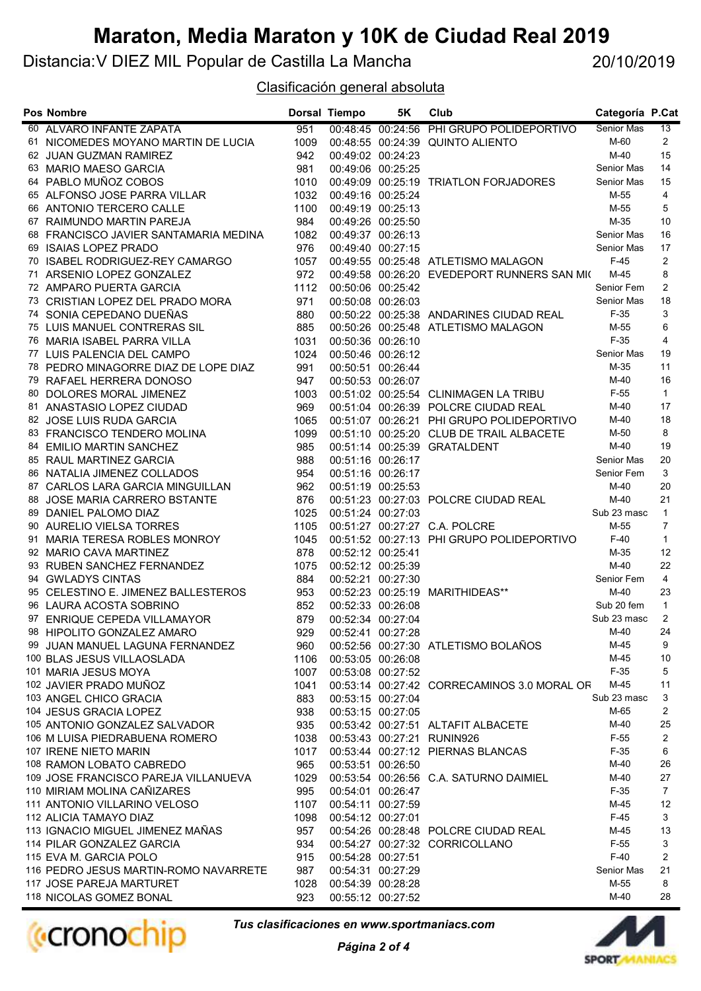Distancia:V DIEZ MIL Popular de Castilla La Mancha

20/10/2019

#### Clasificación general absoluta

| <b>Pos Nombre</b>                                                 |            | Dorsal Tiempo     | 5K | Club                                        | Categoría P.Cat    |                |
|-------------------------------------------------------------------|------------|-------------------|----|---------------------------------------------|--------------------|----------------|
| 60 ALVARO INFANTE ZAPATA                                          | 951        |                   |    | 00:48:45 00:24:56 PHI GRUPO POLIDEPORTIVO   | Senior Mas         | 13             |
| 61 NICOMEDES MOYANO MARTIN DE LUCIA                               | 1009       |                   |    | 00:48:55 00:24:39 QUINTO ALIENTO            | M-60               | $\overline{2}$ |
| 62 JUAN GUZMAN RAMIREZ                                            | 942        | 00:49:02 00:24:23 |    |                                             | M-40               | 15             |
| 63 MARIO MAESO GARCIA                                             | 981        | 00:49:06 00:25:25 |    |                                             | Senior Mas         | 14             |
| 64 PABLO MUÑOZ COBOS                                              | 1010       |                   |    | 00:49:09 00:25:19 TRIATLON FORJADORES       | Senior Mas         | 15             |
| 65 ALFONSO JOSE PARRA VILLAR                                      | 1032       | 00:49:16 00:25:24 |    |                                             | M-55               | $\overline{4}$ |
| 66 ANTONIO TERCERO CALLE                                          | 1100       | 00:49:19 00:25:13 |    |                                             | M-55               | 5              |
| 67 RAIMUNDO MARTIN PAREJA                                         | 984        | 00:49:26 00:25:50 |    |                                             | $M-35$             | 10             |
| 68 FRANCISCO JAVIER SANTAMARIA MEDINA                             | 1082       | 00:49:37 00:26:13 |    |                                             | Senior Mas         | 16             |
| 69 ISAIAS LOPEZ PRADO                                             | 976        | 00:49:40 00:27:15 |    |                                             | Senior Mas         | 17             |
| 70 ISABEL RODRIGUEZ-REY CAMARGO                                   | 1057       |                   |    | 00:49:55 00:25:48 ATLETISMO MALAGON         | $F-45$             | $\overline{2}$ |
| 71 ARSENIO LOPEZ GONZALEZ                                         | 972        |                   |    | 00:49:58 00:26:20 EVEDEPORT RUNNERS SAN MIC | M-45               | 8              |
| 72 AMPARO PUERTA GARCIA                                           | 1112       | 00:50:06 00:25:42 |    |                                             | Senior Fem         | 2              |
| 73 CRISTIAN LOPEZ DEL PRADO MORA                                  | 971        | 00:50:08 00:26:03 |    |                                             | Senior Mas         | 18             |
| 74 SONIA CEPEDANO DUEÑAS                                          | 880        |                   |    | 00:50:22 00:25:38 ANDARINES CIUDAD REAL     | $F-35$             | 3              |
| 75 LUIS MANUEL CONTRERAS SIL                                      | 885        |                   |    | 00:50:26 00:25:48 ATLETISMO MALAGON         | M-55               | 6              |
| 76 MARIA ISABEL PARRA VILLA                                       | 1031       | 00:50:36 00:26:10 |    |                                             | $F-35$             | $\overline{4}$ |
| 77 LUIS PALENCIA DEL CAMPO                                        | 1024       | 00:50:46 00:26:12 |    |                                             | Senior Mas         | 19             |
| 78 PEDRO MINAGORRE DIAZ DE LOPE DIAZ                              | 991        | 00:50:51 00:26:44 |    |                                             | M-35               | 11             |
| 79 RAFAEL HERRERA DONOSO                                          | 947        | 00:50:53 00:26:07 |    |                                             | $M-40$             | 16             |
| 80 DOLORES MORAL JIMENEZ                                          | 1003       |                   |    | 00:51:02 00:25:54 CLINIMAGEN LA TRIBU       | $F-55$             | $\mathbf{1}$   |
| 81 ANASTASIO LOPEZ CIUDAD                                         | 969        |                   |    | 00:51:04 00:26:39 POLCRE CIUDAD REAL        | M-40               | 17             |
| 82 JOSE LUIS RUDA GARCIA                                          | 1065       |                   |    | 00:51:07 00:26:21 PHI GRUPO POLIDEPORTIVO   | M-40               | 18             |
| 83 FRANCISCO TENDERO MOLINA                                       | 1099       |                   |    | 00:51:10 00:25:20 CLUB DE TRAIL ALBACETE    | M-50               | 8              |
| 84 EMILIO MARTIN SANCHEZ                                          | 985        |                   |    | 00:51:14 00:25:39 GRATALDENT                | $M-40$             | 19<br>20       |
| 85 RAUL MARTINEZ GARCIA                                           | 988        | 00:51:16 00:26:17 |    |                                             | Senior Mas         | 3              |
| 86 NATALIA JIMENEZ COLLADOS                                       | 954<br>962 | 00:51:16 00:26:17 |    |                                             | Senior Fem<br>M-40 | 20             |
| 87 CARLOS LARA GARCIA MINGUILLAN<br>88 JOSE MARIA CARRERO BSTANTE | 876        | 00:51:19 00:25:53 |    | 00:51:23 00:27:03 POLCRE CIUDAD REAL        | $M-40$             | 21             |
| 89 DANIEL PALOMO DIAZ                                             | 1025       | 00:51:24 00:27:03 |    |                                             | Sub 23 masc        | $\mathbf{1}$   |
| 90 AURELIO VIELSA TORRES                                          | 1105       |                   |    | 00:51:27 00:27:27 C.A. POLCRE               | M-55               | $\overline{7}$ |
| 91 MARIA TERESA ROBLES MONROY                                     | 1045       |                   |    | 00:51:52 00:27:13 PHI GRUPO POLIDEPORTIVO   | $F-40$             | $\mathbf{1}$   |
| 92 MARIO CAVA MARTINEZ                                            | 878        | 00:52:12 00:25:41 |    |                                             | M-35               | 12             |
| 93 RUBEN SANCHEZ FERNANDEZ                                        | 1075       | 00:52:12 00:25:39 |    |                                             | M-40               | 22             |
| 94 GWLADYS CINTAS                                                 | 884        | 00:52:21 00:27:30 |    |                                             | Senior Fem         | $\overline{4}$ |
| 95 CELESTINO E. JIMENEZ BALLESTEROS                               | 953        |                   |    | 00:52:23 00:25:19 MARITHIDEAS**             | M-40               | 23             |
| 96 LAURA ACOSTA SOBRINO                                           | 852        | 00:52:33 00:26:08 |    |                                             | Sub 20 fem         | $\mathbf{1}$   |
| 97 ENRIQUE CEPEDA VILLAMAYOR                                      | 879        | 00:52:34 00:27:04 |    |                                             | Sub 23 masc        | 2              |
| 98 HIPOLITO GONZALEZ AMARO                                        | 929        | 00:52:41 00:27:28 |    |                                             | $M-40$             | 24             |
| 99 JUAN MANUEL LAGUNA FERNANDEZ                                   | 960        |                   |    | 00:52:56 00:27:30 ATLETISMO BOLAÑOS         | M-45               | 9              |
| 100 BLAS JESUS VILLAOSLADA                                        | 1106       | 00:53:05 00:26:08 |    |                                             | $M-45$             | 10             |
| 101 MARIA JESUS MOYA                                              | 1007       | 00:53:08 00:27:52 |    |                                             | $F-35$             | 5              |
| 102 JAVIER PRADO MUÑOZ                                            | 1041       |                   |    | 00:53:14 00:27:42 CORRECAMINOS 3.0 MORAL OR | M-45               | 11             |
| 103 ANGEL CHICO GRACIA                                            | 883        | 00:53:15 00:27:04 |    |                                             | Sub 23 masc        | 3              |
| 104 JESUS GRACIA LOPEZ                                            | 938        | 00:53:15 00:27:05 |    |                                             | M-65               | 2              |
| 105 ANTONIO GONZALEZ SALVADOR                                     | 935        |                   |    | 00:53:42 00:27:51 ALTAFIT ALBACETE          | M-40               | 25             |
| 106 M LUISA PIEDRABUENA ROMERO                                    | 1038       |                   |    | 00:53:43 00:27:21 RUNIN926                  | $F-55$             | $\overline{2}$ |
| 107 IRENE NIETO MARIN                                             | 1017       |                   |    | 00:53:44 00:27:12 PIERNAS BLANCAS           | $F-35$             | 6              |
| 108 RAMON LOBATO CABREDO                                          | 965        | 00:53:51 00:26:50 |    |                                             | $M-40$             | 26             |
| 109 JOSE FRANCISCO PAREJA VILLANUEVA                              | 1029       |                   |    | 00:53:54 00:26:56 C.A. SATURNO DAIMIEL      | M-40               | 27             |
| 110 MIRIAM MOLINA CAÑIZARES                                       | 995        | 00:54:01 00:26:47 |    |                                             | $F-35$             | $\overline{7}$ |
| 111 ANTONIO VILLARINO VELOSO                                      | 1107       | 00:54:11 00:27:59 |    |                                             | M-45               | 12             |
| 112 ALICIA TAMAYO DIAZ                                            | 1098       | 00:54:12 00:27:01 |    |                                             | $F-45$             | 3              |
| 113 IGNACIO MIGUEL JIMENEZ MAÑAS                                  | 957        |                   |    | 00:54:26 00:28:48 POLCRE CIUDAD REAL        | M-45               | 13             |
| 114 PILAR GONZALEZ GARCIA                                         | 934        |                   |    | 00:54:27 00:27:32 CORRICOLLANO              | $F-55$             | 3              |
| 115 EVA M. GARCIA POLO                                            | 915        | 00:54:28 00:27:51 |    |                                             | $F-40$             | 2              |
| 116 PEDRO JESUS MARTIN-ROMO NAVARRETE                             | 987        | 00:54:31 00:27:29 |    |                                             | Senior Mas         | 21             |
| 117 JOSE PAREJA MARTURET                                          | 1028       | 00:54:39 00:28:28 |    |                                             | M-55               | 8              |
| 118 NICOLAS GOMEZ BONAL                                           | 923        | 00:55:12 00:27:52 |    |                                             | M-40               | 28             |



Tus clasificaciones en www.sportmaniacs.com

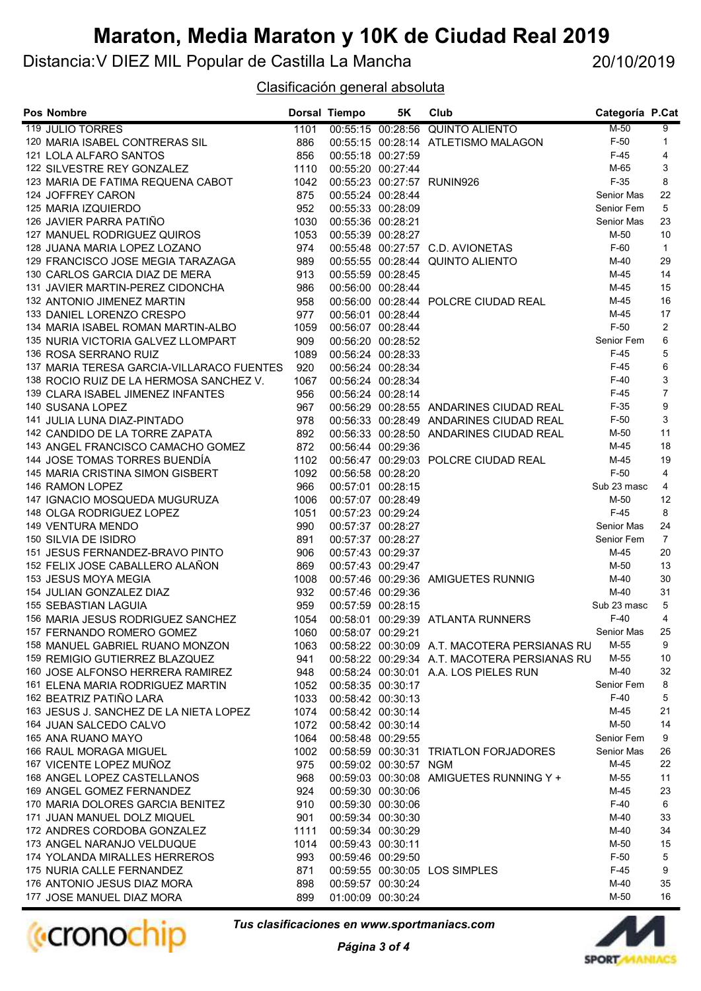Distancia:V DIEZ MIL Popular de Castilla La Mancha

20/10/2019

#### Clasificación general absoluta

| <b>Pos Nombre</b>                                                        |             | Dorsal Tiempo                          | 5K                    | Club                                         | Categoría P.Cat  |                |
|--------------------------------------------------------------------------|-------------|----------------------------------------|-----------------------|----------------------------------------------|------------------|----------------|
| <b>119 JULIO TORRES</b>                                                  | 1101        |                                        |                       | 00:55:15 00:28:56 QUINTO ALIENTO             | $M-50$           | 9              |
| 120 MARIA ISABEL CONTRERAS SIL                                           | 886         |                                        |                       | 00:55:15 00:28:14 ATLETISMO MALAGON          | $F-50$           | $\mathbf{1}$   |
| 121 LOLA ALFARO SANTOS                                                   | 856         | 00:55:18 00:27:59                      |                       |                                              | $F-45$           | 4              |
| 122 SILVESTRE REY GONZALEZ                                               | 1110        | 00:55:20 00:27:44                      |                       |                                              | M-65             | 3              |
| 123 MARIA DE FATIMA REQUENA CABOT                                        | 1042        |                                        |                       | 00:55:23 00:27:57 RUNIN926                   | $F-35$           | 8              |
| 124 JOFFREY CARON                                                        | 875         | 00:55:24 00:28:44                      |                       |                                              | Senior Mas       | 22             |
| 125 MARIA IZQUIERDO                                                      | 952         | 00:55:33 00:28:09                      |                       |                                              | Senior Fem       | 5              |
| 126 JAVIER PARRA PATIÑO                                                  | 1030        | 00:55:36 00:28:21                      |                       |                                              | Senior Mas       | 23             |
| 127 MANUEL RODRIGUEZ QUIROS                                              | 1053        | 00:55:39 00:28:27                      |                       |                                              | M-50             | 10             |
| 128 JUANA MARIA LOPEZ LOZANO                                             | 974         |                                        |                       | 00:55:48 00:27:57 C.D. AVIONETAS             | $F-60$           | $\mathbf{1}$   |
| 129 FRANCISCO JOSE MEGIA TARAZAGA                                        | 989         |                                        |                       | 00:55:55 00:28:44 QUINTO ALIENTO             | $M-40$           | 29             |
| 130 CARLOS GARCIA DIAZ DE MERA                                           | 913         | 00:55:59 00:28:45                      |                       |                                              | $M-45$           | 14<br>15       |
| 131 JAVIER MARTIN-PEREZ CIDONCHA                                         | 986         |                                        | 00:56:00 00:28:44     |                                              | $M-45$<br>$M-45$ | 16             |
| 132 ANTONIO JIMENEZ MARTIN                                               | 958<br>977  |                                        |                       | 00:56:00 00:28:44 POLCRE CIUDAD REAL         | $M-45$           | 17             |
| 133 DANIEL LORENZO CRESPO                                                |             | 00:56:01 00:28:44                      |                       |                                              | $F-50$           | 2              |
| 134 MARIA ISABEL ROMAN MARTIN-ALBO<br>135 NURIA VICTORIA GALVEZ LLOMPART | 1059<br>909 | 00:56:07 00:28:44<br>00:56:20 00:28:52 |                       |                                              | Senior Fem       | 6              |
| 136 ROSA SERRANO RUIZ                                                    | 1089        | 00:56:24 00:28:33                      |                       |                                              | $F-45$           | 5              |
| 137 MARIA TERESA GARCIA-VILLARACO FUENTES                                | 920         | 00:56:24 00:28:34                      |                       |                                              | $F-45$           | 6              |
| 138 ROCIO RUIZ DE LA HERMOSA SANCHEZ V.                                  | 1067        | 00:56:24 00:28:34                      |                       |                                              | $F-40$           | 3              |
| 139 CLARA ISABEL JIMENEZ INFANTES                                        | 956         | 00:56:24 00:28:14                      |                       |                                              | $F-45$           | $\overline{7}$ |
| 140 SUSANA LOPEZ                                                         | 967         |                                        |                       | 00:56:29 00:28:55 ANDARINES CIUDAD REAL      | $F-35$           | 9              |
| 141 JULIA LUNA DIAZ-PINTADO                                              | 978         |                                        |                       | 00:56:33 00:28:49 ANDARINES CIUDAD REAL      | $F-50$           | 3              |
| 142 CANDIDO DE LA TORRE ZAPATA                                           | 892         |                                        |                       | 00:56:33 00:28:50 ANDARINES CIUDAD REAL      | M-50             | 11             |
| 143 ANGEL FRANCISCO CAMACHO GOMEZ                                        | 872         | 00:56:44 00:29:36                      |                       |                                              | $M-45$           | 18             |
| 144 JOSE TOMAS TORRES BUENDÍA                                            | 1102        |                                        |                       | 00:56:47 00:29:03 POLCRE CIUDAD REAL         | $M-45$           | 19             |
| 145 MARIA CRISTINA SIMON GISBERT                                         | 1092        | 00:56:58 00:28:20                      |                       |                                              | $F-50$           | $\overline{4}$ |
| 146 RAMON LOPEZ                                                          | 966         | 00:57:01 00:28:15                      |                       |                                              | Sub 23 masc      | $\overline{4}$ |
| 147 IGNACIO MOSQUEDA MUGURUZA                                            | 1006        | 00:57:07 00:28:49                      |                       |                                              | M-50             | 12             |
| 148 OLGA RODRIGUEZ LOPEZ                                                 | 1051        | 00:57:23 00:29:24                      |                       |                                              | $F-45$           | 8              |
| 149 VENTURA MENDO                                                        | 990         | 00:57:37 00:28:27                      |                       |                                              | Senior Mas       | 24             |
| 150 SILVIA DE ISIDRO                                                     | 891         | 00:57:37 00:28:27                      |                       |                                              | Senior Fem       | $\overline{7}$ |
| 151 JESUS FERNANDEZ-BRAVO PINTO                                          | 906         | 00:57:43 00:29:37                      |                       |                                              | $M-45$           | 20             |
| 152 FELIX JOSE CABALLERO ALAÑON                                          | 869         | 00:57:43 00:29:47                      |                       |                                              | M-50             | 13             |
| 153 JESUS MOYA MEGIA                                                     | 1008        |                                        |                       | 00:57:46 00:29:36 AMIGUETES RUNNIG           | $M-40$           | 30             |
| 154 JULIAN GONZALEZ DIAZ                                                 | 932         | 00:57:46 00:29:36                      |                       |                                              | $M-40$           | 31             |
| 155 SEBASTIAN LAGUIA                                                     | 959         | 00:57:59 00:28:15                      |                       |                                              | Sub 23 masc      | 5              |
| 156 MARIA JESUS RODRIGUEZ SANCHEZ                                        | 1054        |                                        |                       | 00:58:01 00:29:39 ATLANTA RUNNERS            | $F-40$           | $\overline{4}$ |
| 157 FERNANDO ROMERO GOMEZ                                                | 1060        | 00:58:07 00:29:21                      |                       |                                              | Senior Mas       | 25             |
| 158 MANUEL GABRIEL RUANO MONZON                                          | 1063        |                                        |                       | 00:58:22 00:30:09 A.T. MACOTERA PERSIANAS RU | M-55             | 9              |
| 159 REMIGIO GUTIERREZ BLAZQUEZ                                           | 941         |                                        |                       | 00:58:22 00:29:34 A.T. MACOTERA PERSIANAS RU | M-55             | 10             |
| 160 JOSE ALFONSO HERRERA RAMIREZ                                         | 948         |                                        |                       | 00:58:24 00:30:01 A.A. LOS PIELES RUN        | M-40             | 32             |
| 161 ELENA MARIA RODRIGUEZ MARTIN                                         | 1052        | 00:58:35 00:30:17                      |                       |                                              | Senior Fem       | 8              |
| 162 BEATRIZ PATIÑO LARA                                                  | 1033        | 00:58:42 00:30:13                      |                       |                                              | $F-40$           | 5              |
| 163 JESUS J. SANCHEZ DE LA NIETA LOPEZ                                   | 1074        | 00:58:42 00:30:14                      |                       |                                              | M-45             | 21             |
| 164 JUAN SALCEDO CALVO                                                   | 1072        | 00:58:42 00:30:14                      |                       |                                              | M-50             | 14             |
| 165 ANA RUANO MAYO                                                       | 1064        | 00:58:48 00:29:55                      |                       |                                              | Senior Fem       | 9              |
| 166 RAUL MORAGA MIGUEL                                                   | 1002        |                                        |                       | 00:58:59 00:30:31 TRIATLON FORJADORES        | Senior Mas       | 26             |
| 167 VICENTE LOPEZ MUÑOZ                                                  | 975         |                                        | 00:59:02 00:30:57 NGM |                                              | M-45             | 22             |
| 168 ANGEL LOPEZ CASTELLANOS                                              | 968         |                                        |                       | 00:59:03 00:30:08 AMIGUETES RUNNING Y +      | M-55             | 11             |
| 169 ANGEL GOMEZ FERNANDEZ                                                | 924         | 00:59:30 00:30:06                      |                       |                                              | M-45             | 23             |
| 170 MARIA DOLORES GARCIA BENITEZ                                         | 910         | 00:59:30 00:30:06                      |                       |                                              | $F-40$           | 6              |
| 171 JUAN MANUEL DOLZ MIQUEL                                              | 901         | 00:59:34 00:30:30                      |                       |                                              | M-40             | 33             |
| 172 ANDRES CORDOBA GONZALEZ                                              | 1111        | 00:59:34 00:30:29                      |                       |                                              | M-40<br>M-50     | 34<br>15       |
| 173 ANGEL NARANJO VELDUQUE                                               | 1014        | 00:59:43 00:30:11                      | 00:59:46 00:29:50     |                                              | $F-50$           | 5              |
| 174 YOLANDA MIRALLES HERREROS<br>175 NURIA CALLE FERNANDEZ               | 993<br>871  |                                        |                       | 00:59:55 00:30:05 LOS SIMPLES                | $F-45$           | 9              |
| 176 ANTONIO JESUS DIAZ MORA                                              | 898         | 00:59:57 00:30:24                      |                       |                                              | M-40             | 35             |
| 177 JOSE MANUEL DIAZ MORA                                                | 899         | 01:00:09 00:30:24                      |                       |                                              | M-50             | 16             |



Tus clasificaciones en www.sportmaniacs.com